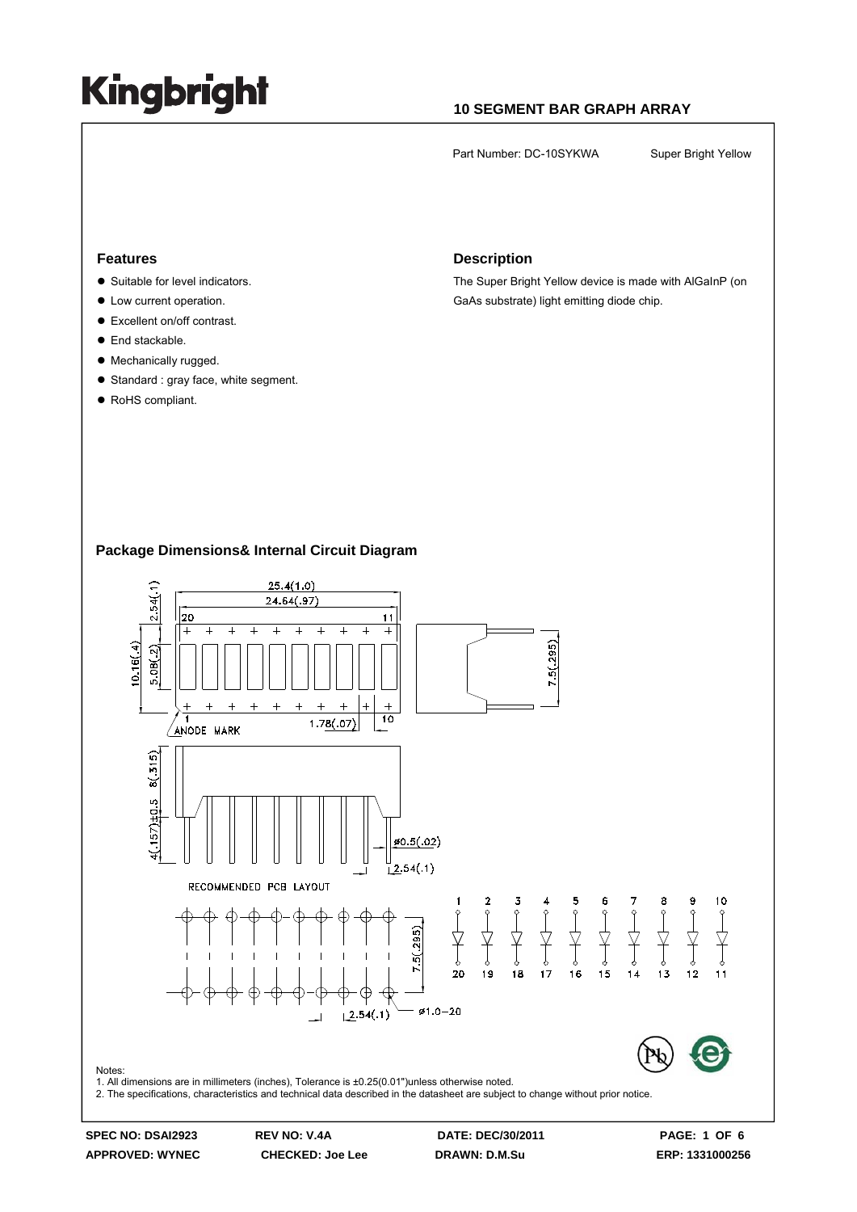### **10 SEGMENT BAR GRAPH ARRAY**

Part Number: DC-10SYKWA Super Bright Yellow

#### **Features**

- Suitable for level indicators.
- $\bullet$  Low current operation.
- Excellent on/off contrast.
- $\bullet$  End stackable.
- Mechanically rugged.
- $\bullet$  Standard : gray face, white segment.
- RoHS compliant.

#### **Description**

The Super Bright Yellow device is made with AlGaInP (on GaAs substrate) light emitting diode chip.

### **Package Dimensions& Internal Circuit Diagram**



**APPROVED: WYNEC CHECKED: Joe Lee DRAWN: D.M.Su ERP: 1331000256** 

**SPEC NO: DSAI2923 REV NO: V.4A DATE: DEC/30/2011 PAGE: 1 OF 6**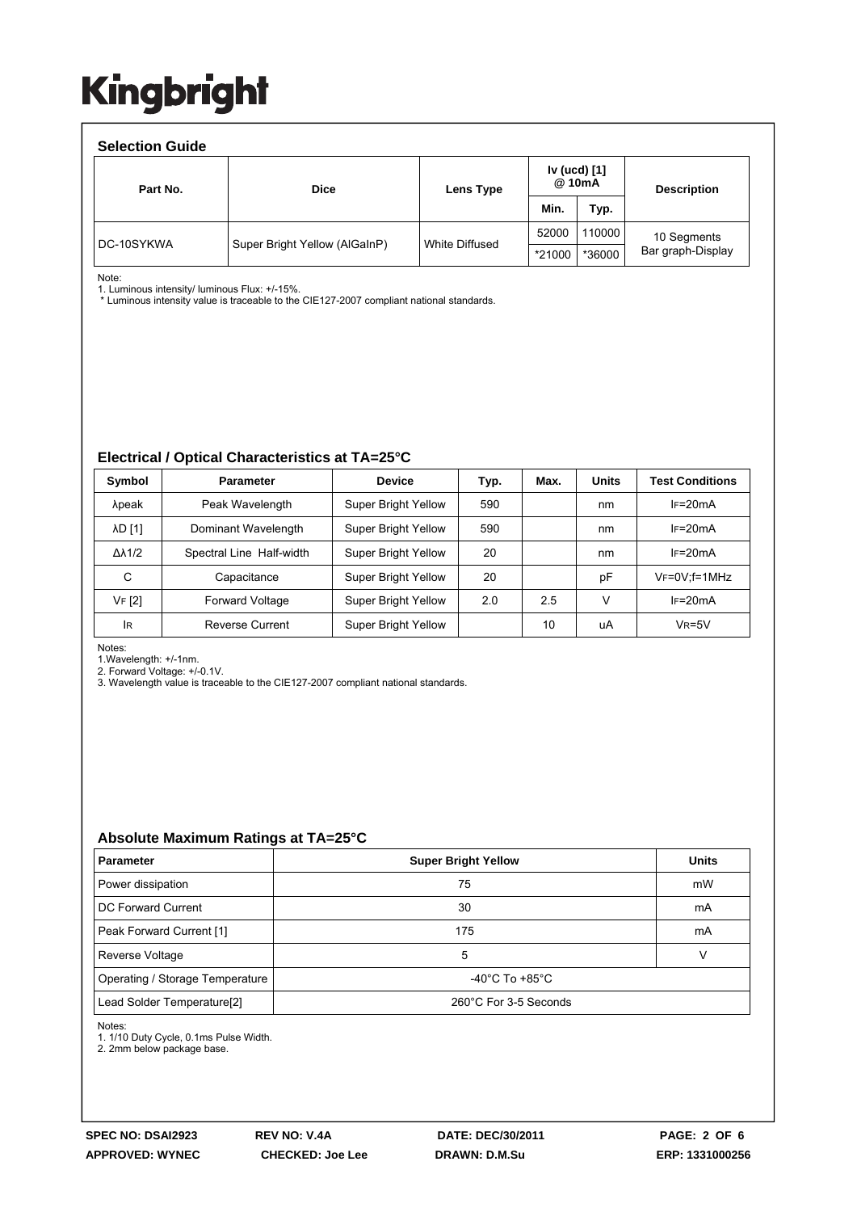| <b>Selection Guide</b> |                               |                |                        |        |                    |  |  |  |  |
|------------------------|-------------------------------|----------------|------------------------|--------|--------------------|--|--|--|--|
| Part No.               | <b>Dice</b>                   | Lens Type      | Iv (ucd) [1]<br>@ 10mA |        | <b>Description</b> |  |  |  |  |
|                        |                               |                | Min.                   | Typ.   |                    |  |  |  |  |
| DC-10SYKWA             | Super Bright Yellow (AlGaInP) | White Diffused | 52000                  | 110000 | 10 Segments        |  |  |  |  |
|                        |                               |                | *21000                 | *36000 | Bar graph-Display  |  |  |  |  |

Note:

1. Luminous intensity/ luminous Flux: +/-15%.

\* Luminous intensity value is traceable to the CIE127-2007 compliant national standards.

#### **Electrical / Optical Characteristics at TA=25°C**

| Symbol              | <b>Parameter</b>         | <b>Device</b>              | Typ. | Max. | <b>Units</b> | <b>Test Conditions</b> |
|---------------------|--------------------------|----------------------------|------|------|--------------|------------------------|
| λpeak               | Peak Wavelength          | Super Bright Yellow        | 590  |      | nm           | $IF=20mA$              |
| <b>AD [1]</b>       | Dominant Wavelength      | <b>Super Bright Yellow</b> | 590  |      | nm           | $IF=20mA$              |
| $\Delta\lambda$ 1/2 | Spectral Line Half-width | Super Bright Yellow        | 20   |      | nm           | $IF=20mA$              |
| С                   | Capacitance              | <b>Super Bright Yellow</b> | 20   |      | рF           | $V_F = 0V$ : f = 1 MHz |
| VF [2]              | Forward Voltage          | <b>Super Bright Yellow</b> | 2.0  | 2.5  | v            | $IF=20mA$              |
| IR                  | Reverse Current          | <b>Super Bright Yellow</b> |      | 10   | uA           | $VR=5V$                |

Notes:

1.Wavelength: +/-1nm.

2. Forward Voltage: +/-0.1V.

3. Wavelength value is traceable to the CIE127-2007 compliant national standards.

#### **Absolute Maximum Ratings at TA=25°C**

| <b>Parameter</b>                       | <b>Super Bright Yellow</b>         | <b>Units</b> |  |
|----------------------------------------|------------------------------------|--------------|--|
| Power dissipation                      | 75                                 | mW           |  |
| DC Forward Current                     | 30                                 | mA           |  |
| Peak Forward Current [1]               | 175                                | mA           |  |
| Reverse Voltage                        | 5                                  |              |  |
| Operating / Storage Temperature        | $-40^{\circ}$ C To $+85^{\circ}$ C |              |  |
| Lead Solder Temperature <sup>[2]</sup> | 260°C For 3-5 Seconds              |              |  |

Notes:

1. 1/10 Duty Cycle, 0.1ms Pulse Width.

2. 2mm below package base.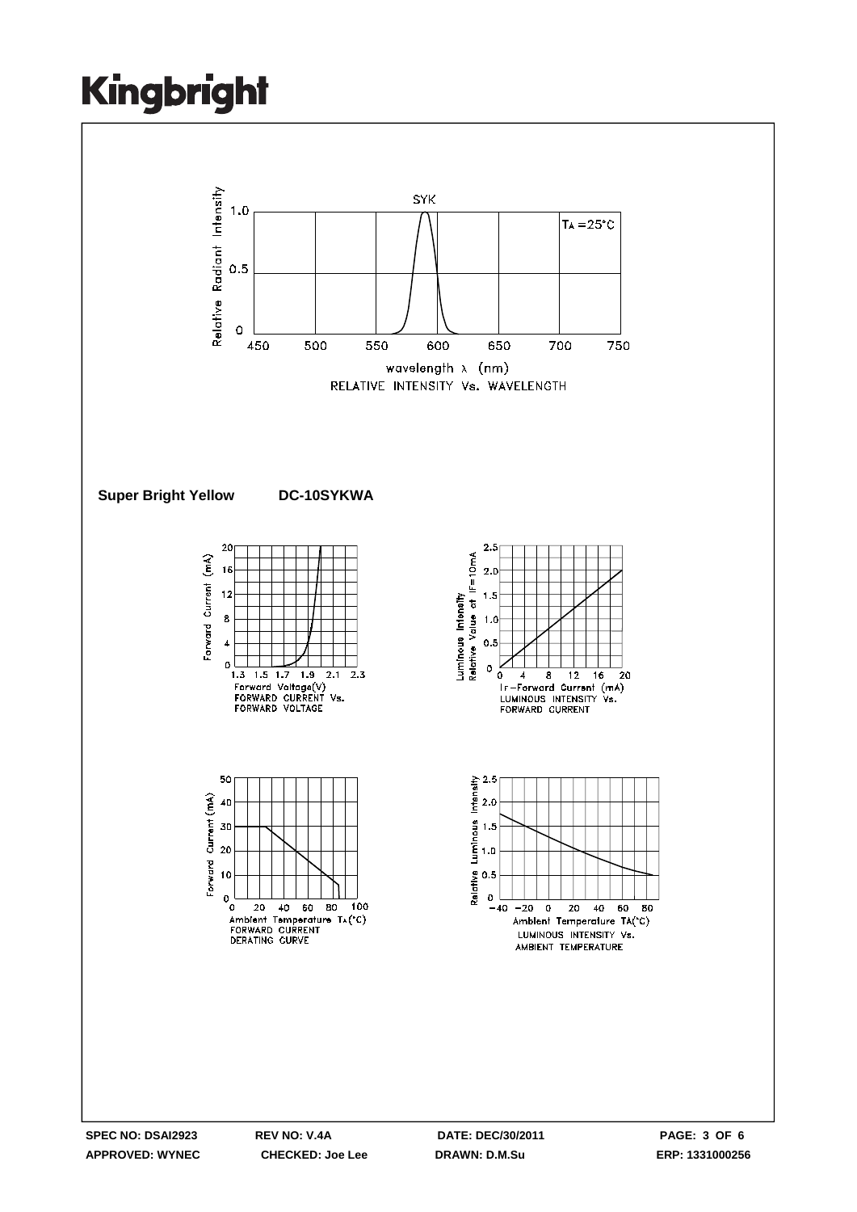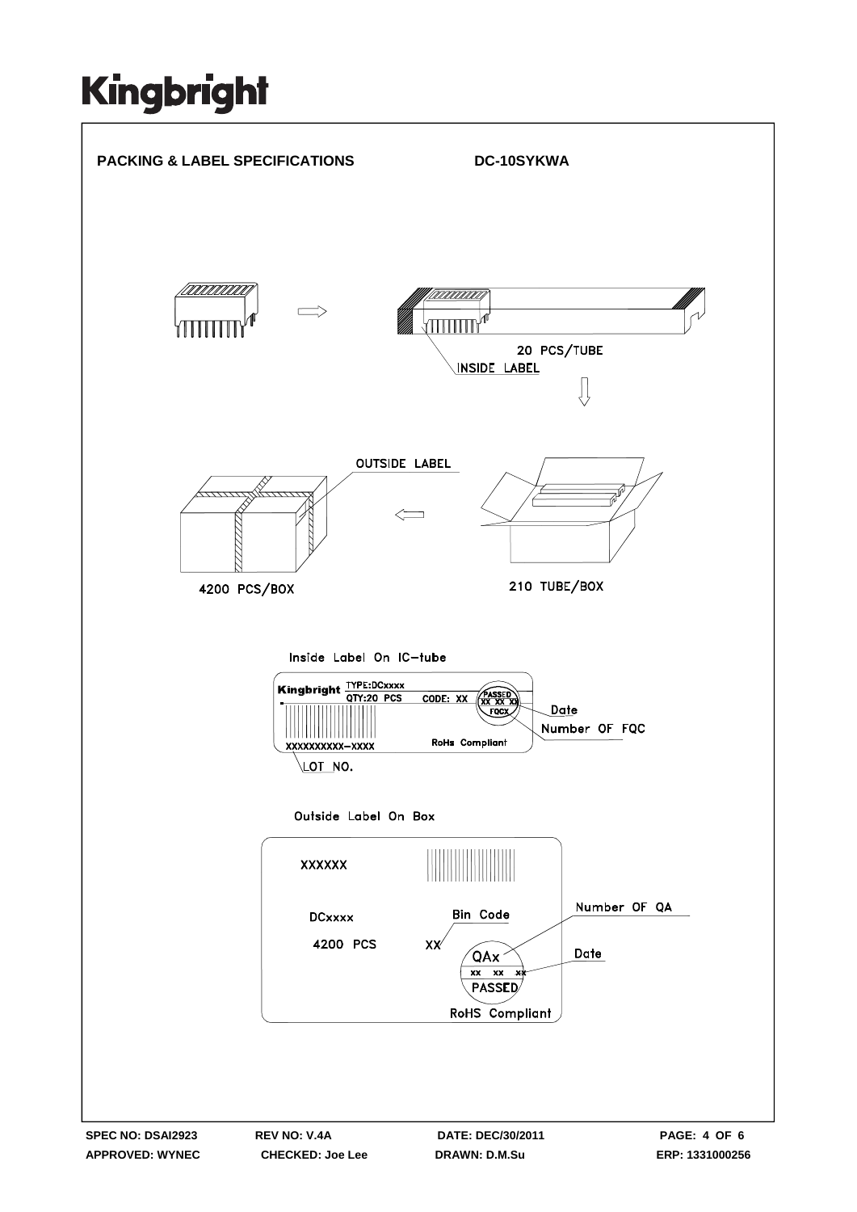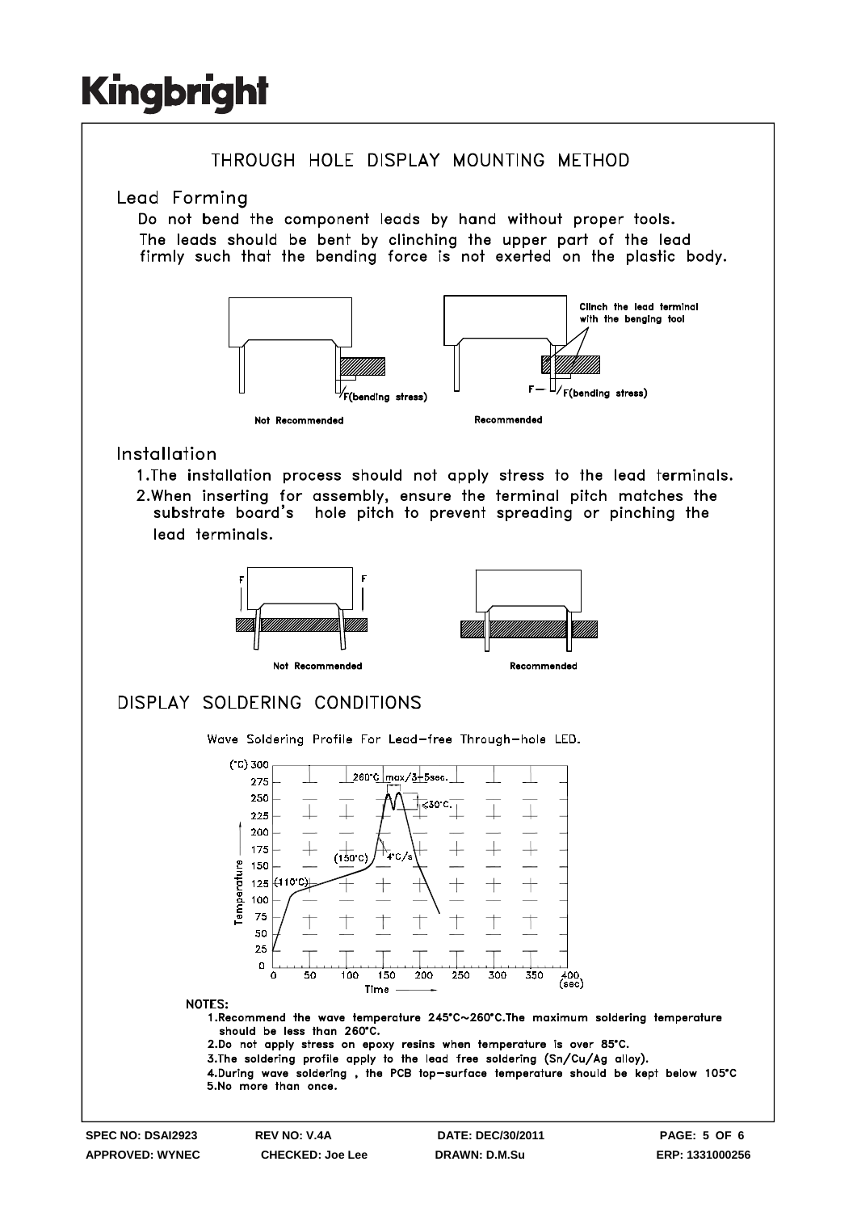